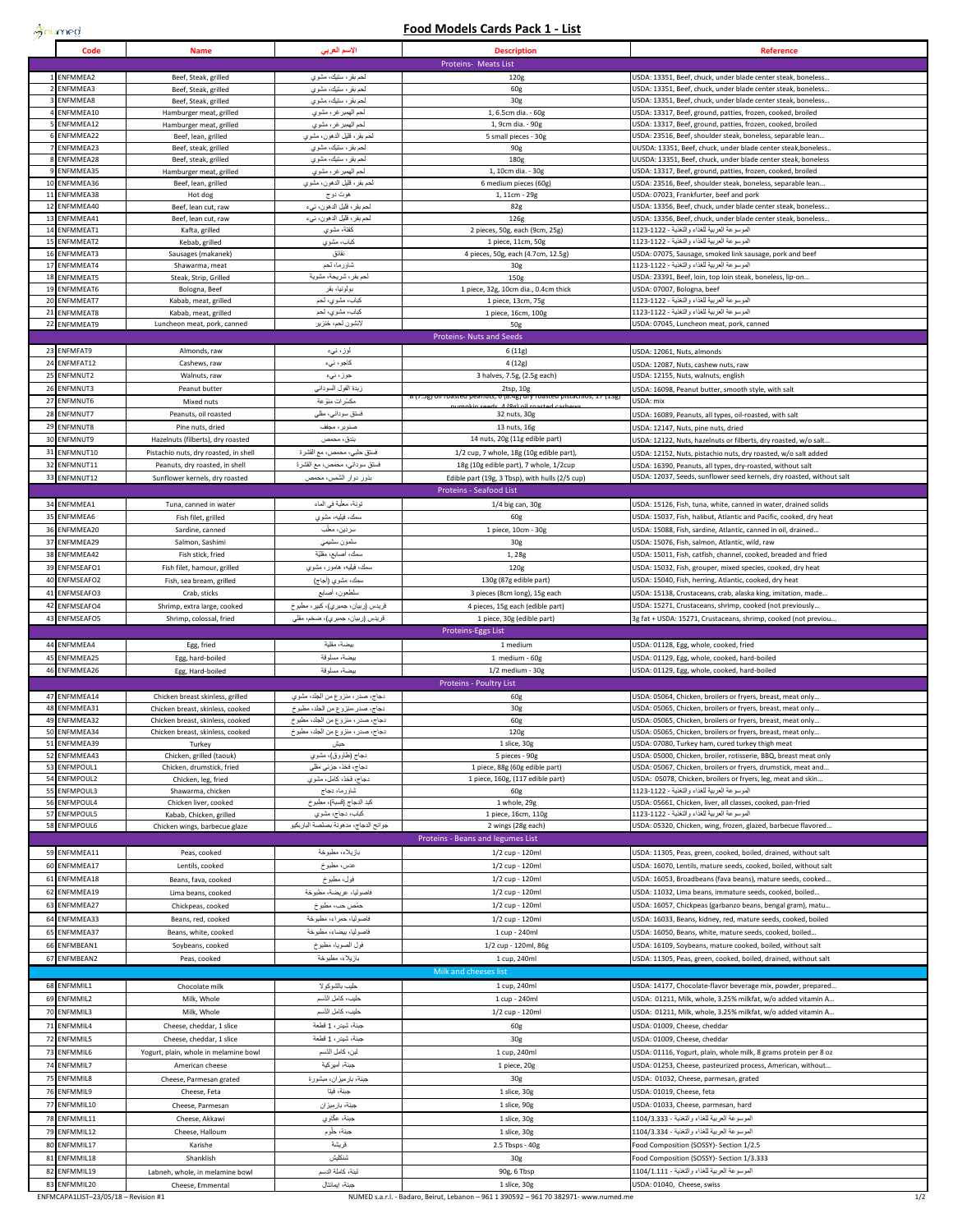$\frac{1}{2}$ numed

## **Food Models Cards Pack 1 - List**

|                | Code                                 | <b>Name</b>                                                                | الإسم العريي                                                         | <b>Description</b>                                                      | <b>Reference</b>                                                                                                                    |
|----------------|--------------------------------------|----------------------------------------------------------------------------|----------------------------------------------------------------------|-------------------------------------------------------------------------|-------------------------------------------------------------------------------------------------------------------------------------|
|                |                                      |                                                                            |                                                                      | Proteins- Meats List                                                    |                                                                                                                                     |
|                | <b>ENFMMEA2</b><br>ENFMMEA3          | Beef, Steak, grilled<br>Beef, Steak, grilled                               | لحم بقر، ستيك، مشوي<br>لمحم بقر ، ستيك، مشوي                         | 120g<br>60g                                                             | USDA: 13351, Beef, chuck, under blade center steak, boneless.<br>USDA: 13351, Beef, chuck, under blade center steak, boneless.      |
|                | ENFMMEA8                             | Beef, Steak, grilled                                                       | لحم بقر، ستيك، مشوي                                                  | 30g                                                                     | USDA: 13351, Beef, chuck, under blade center steak, boneless                                                                        |
|                | ENFMMEA10                            | Hamburger meat, grilled                                                    | لحم الهمبر غر ، مشوي                                                 | 1, 6.5cm dia. - 60g                                                     | USDA: 13317, Beef, ground, patties, frozen, cooked, broiled                                                                         |
|                | ENFMMEA12<br>ENFMMEA22               | Hamburger meat, grilled<br>Beef, lean, grilled                             | لحم الهمبر غر ، مشوي<br>لحم بقر ، قليل الدهون، مشوي                  | 1, 9cm dia. - 90g<br>5 small pieces - 30g                               | USDA: 13317, Beef, ground, patties, frozen, cooked, broiled<br>USDA: 23516, Beef, shoulder steak, boneless, separable lean.         |
|                | ENFMMEA23                            | Beef, steak, grilled                                                       | لحم بقر، ستيك، مشوي                                                  | 90g                                                                     | UUSDA: 13351, Beef, chuck, under blade center steak, boneless.                                                                      |
|                | ENFMMEA28                            | Beef, steak, grilled                                                       | لحم بقر، ستيك، مشوي                                                  | 180g                                                                    | UUSDA: 13351, Beef, chuck, under blade center steak, boneless                                                                       |
|                | ENFMMEA35<br>ENFMMEA36               | Hamburger meat, grilled                                                    | لحم الهمبر غر ، مشوي                                                 | 1, 10cm dia. - 30g                                                      | USDA: 13317, Beef, ground, patties, frozen, cooked, broiled                                                                         |
| 11             | <b>ENFMMEA38</b>                     | Beef, lean, grilled<br>Hot dog                                             | لحم بقر ، قليل الدهون، مشوي<br>هوت دو ج                              | 6 medium pieces (60g)<br>1, 11cm - 29g                                  | USDA: 23516, Beef, shoulder steak, boneless, separable lean<br>USDA: 07023, Frankfurter, beef and pork                              |
| 12             | ENFMMEA40                            | Beef, lean cut, raw                                                        | لحم بقر ، قليل الدهون، نبيء                                          | 82g                                                                     | USDA: 13356, Beef, chuck, under blade center steak, boneless.                                                                       |
| 13             | ENFMMEA41                            | Beef, lean cut, raw                                                        | لحم بقر ، قليل الدهون، نبيء                                          | 126g                                                                    | USDA: 13356, Beef, chuck, under blade center steak, boneless.                                                                       |
| 14<br>15       | ENFMMEAT1<br>ENFMMEAT2               | Kafta, grilled<br>Kebab, grilled                                           | كظقة، مشوي<br>كباب، مشوي                                             | 2 pieces, 50g, each (9cm, 25g)<br>1 piece, 11cm, 50g                    | الموسوعة العربية للغذاء والتغذية - 1122-1123<br>الموسوعة العربية للغذاء والتغذية - 1122-1123                                        |
| 16             | ENFMMEAT3                            | Sausages (makanek)                                                         | نقانق                                                                | 4 pieces, 50g, each (4.7cm, 12.5g)                                      | USDA: 07075, Sausage, smoked link sausage, pork and beef                                                                            |
| 17             | ENFMMEAT4                            | Shawarma, meat                                                             | شاورما، لحم                                                          | 30 <sub>g</sub>                                                         | الموسو عة العربية للغذاء و التَعْذية - 1122-1123                                                                                    |
| 18             | <b>ENFMMEAT5</b>                     | Steak, Strip, Grilled                                                      | لحم بقر ، شريحة، مشوية                                               | 150g                                                                    | USDA: 23391, Beef, loin, top loin steak, boneless, lip-on                                                                           |
| 19<br>20       | <b>ENFMMEAT6</b><br><b>ENFMMEAT7</b> | Bologna, Beef<br>Kabab, meat, grilled                                      | بولونيا، بقر<br>كباب، مشوي، لحم                                      | 1 piece, 32g, 10cm dia., 0.4cm thick<br>1 piece, 13cm, 75g              | USDA: 07007, Bologna, beef<br>الموسوعة العربية للغذاء والتغذية - 1122-1123                                                          |
|                | 21 ENFMMEAT8                         | Kabab, meat, grilled                                                       | كباب، مشوي، لحم                                                      | 1 piece, 16cm, 100g                                                     | لموسوعة العربية للغذاء والتغنية - 1122-1123                                                                                         |
|                | 22 ENFMMEAT9                         | Luncheon meat, pork, canned                                                | لانشون لحم، خنزير                                                    | 50g                                                                     | USDA: 07045, Luncheon meat, pork, canned                                                                                            |
|                |                                      |                                                                            |                                                                      | Proteins- Nuts and Seeds                                                |                                                                                                                                     |
|                | 23 ENFMFAT9<br>24 ENFMFAT12          | Almonds, raw<br>Cashews, raw                                               | لوز ، نېء<br>كاجو ، نيء                                              | 6(11g)<br>4 (12g)                                                       | USDA: 12061, Nuts, almonds<br>USDA: 12087, Nuts, cashew nuts, raw                                                                   |
|                | 25 ENFMNUT2                          | Walnuts, raw                                                               | جوز ، نيء                                                            | 3 halves, 7.5g, (2.5g each)                                             | USDA: 12155, Nuts, walnuts, english                                                                                                 |
| 26             | ENFMNUT3                             | Peanut butter                                                              | زبدة الفول السوداني                                                  | 2tsp, 10g                                                               | USDA: 16098, Peanut butter, smooth style, with salt                                                                                 |
| 27             | ENFMNUT6                             | Mixed nuts                                                                 | مكسّرات منوّعة                                                       | 8 (7.5g) oil roasted peanuts, 6 (8.4g) dry roasted pistachios, 17 (13g) | USDA: mix                                                                                                                           |
|                | 28 ENFMNUT7                          | Peanuts, oil roasted                                                       | فسنق سوداني، مقلي                                                    | 32 nuts, 30g                                                            | JSDA: 16089, Peanuts, all types, oil-roasted, with salt                                                                             |
|                | 29 ENFMNUT8                          | Pine nuts, dried                                                           | صنوبر ، مجفف                                                         | 13 nuts, 16g<br>14 nuts, 20g (11g edible part)                          | USDA: 12147, Nuts, pine nuts, dried                                                                                                 |
| 3 <sub>0</sub> | ENFMNUT9<br>31 ENFMNUT10             | Hazelnuts (filberts), dry roasted<br>Pistachio nuts, dry roasted, in shell | بندق، محمص<br>فستق حلبي، محمص، مع القشرة                             | 1/2 cup, 7 whole, 18g (10g edible part),                                | JSDA: 12122, Nuts, hazelnuts or filberts, dry roasted, w/o salt.<br>USDA: 12152, Nuts, pistachio nuts, dry roasted, w/o salt added  |
|                | 32 ENFMNUT11                         | Peanuts, dry roasted, in shell                                             | فستق سوداني، محمص، مع القشرة                                         | 18g (10g edible part), 7 whole, 1/2cup                                  | USDA: 16390, Peanuts, all types, dry-roasted, without salt                                                                          |
| 33             | ENFMNUT12                            | Sunflower kernels, dry roasted                                             | بذور دوار الشمس، محمص                                                | Edible part (19g, 3 Tbsp), with hulls (2/5 cup)                         | USDA: 12037, Seeds, sunflower seed kernels, dry roasted, without salt                                                               |
|                |                                      |                                                                            |                                                                      | Proteins - Seafood List                                                 |                                                                                                                                     |
|                | 34 ENFMMEA1                          | Tuna, canned in water                                                      | تونة، معلّبة في الماء                                                | 1/4 big can, 30g                                                        | USDA: 15126, Fish, tuna, white, canned in water, drained solids                                                                     |
|                | 35 ENFMMEA6<br>36 ENFMMEA20          | Fish filet, grilled                                                        | ىىمك، فيليە، مشوي                                                    | 60g<br>1 piece, 10cm - 30g                                              | USDA: 15037, Fish, halibut, Atlantic and Pacific, cooked, dry heat<br>USDA: 15088, Fish, sardine, Atlantic, canned in oil, drained  |
| 37             | ENFMMEA29                            | Sardine, canned<br>Salmon, Sashimi                                         | سردين، معلّب<br>سلمون سٹنيمي                                         | 30g                                                                     | USDA: 15076, Fish, salmon, Atlantic, wild, raw                                                                                      |
|                | 38 ENFMMEA42                         | Fish stick, fried                                                          | سمك، أصبابع، مقلَّيَّة                                               | 1,28g                                                                   | USDA: 15011, Fish, catfish, channel, cooked, breaded and fried                                                                      |
| 39             | ENFMSEAFO1                           | Fish filet, hamour, grilled                                                | سمك، فيليه، هامور، مشوي                                              | 120g                                                                    | USDA: 15032, Fish, grouper, mixed species, cooked, dry heat                                                                         |
| 40             | ENFMSEAFO2                           | Fish, sea bream, grilled                                                   | سمك، مشوي (أجاج)                                                     | 130g (87g edible part)                                                  | USDA: 15040, Fish, herring, Atlantic, cooked, dry heat                                                                              |
| 41             | ENFMSEAFO3                           | Crab, sticks                                                               | سلطعون، أصمابع                                                       | 3 pieces (8cm long), 15g each                                           | USDA: 15138, Crustaceans, crab, alaska king, imitation, made.                                                                       |
|                | 42 ENFMSEAFO4<br>43 ENFMSEAFO5       | Shrimp, extra large, cooked<br>Shrimp, colossal, fried                     | قريدس (ربيان، جمبر ي)، كبير ، مطبو خ                                 | 4 pieces, 15g each (edible part)                                        | USDA: 15271, Crustaceans, shrimp, cooked (not previously.                                                                           |
|                |                                      |                                                                            |                                                                      |                                                                         |                                                                                                                                     |
|                |                                      |                                                                            | قريدس (ربيان، جمير ي)، ضخم، مقلي                                     | 1 piece, 30g (edible part)<br>Proteins-Eggs List                        | 3g fat + USDA: 15271, Crustaceans, shrimp, cooked (not previou                                                                      |
| 44             | <b>ENFMMEA4</b>                      | Egg, fried                                                                 | بيضة، مقلية                                                          | 1 medium                                                                | USDA: 01128, Egg, whole, cooked, fried                                                                                              |
|                | 45 ENFMMEA25                         | Egg, hard-boiled                                                           | بيضة، مسلوقة                                                         | 1 medium - 60g                                                          | USDA: 01129, Egg, whole, cooked, hard-boiled                                                                                        |
|                | 46 ENFMMEA26                         | Egg, Hard-boiled                                                           | بيضة، مسلوقة                                                         | $1/2$ medium - $30g$                                                    | USDA: 01129, Egg, whole, cooked, hard-boiled                                                                                        |
|                |                                      |                                                                            |                                                                      | Proteins - Poultry List                                                 |                                                                                                                                     |
| 48             | 47 ENFMMEA14<br>ENFMMEA31            | Chicken breast skinless, grilled<br>Chicken breast, skinless, cooked       | دجاج، صدر ، منزوع من الجلد، مشوي<br>دجاج، صدر ،منزوع من الجلد، مطبوخ | 60g<br>30 <sub>g</sub>                                                  | USDA: 05064, Chicken, broilers or fryers, breast, meat only<br>USDA: 05065, Chicken, broilers or fryers, breast, meat only          |
| 49             | ENFMMEA32                            | Chicken breast, skinless, cooked                                           | دجاج، صدر ، منزوع من الجلد، مطبوخ                                    | 60g                                                                     | USDA: 05065, Chicken, broilers or fryers, breast, meat only                                                                         |
| 50             | ENFMMEA34                            | Chicken breast, skinless, cooked                                           | دجاج، صدر ، منزوع من الجلد، مطبوخ                                    | 120g                                                                    | USDA: 05065, Chicken, broilers or fryers, breast, meat only                                                                         |
|                | 51 ENFMMEA39<br>52 ENFMMEA43         | Turkey<br>Chicken, grilled (taouk)                                         | حبش<br>دجاج (طاووق)، مشوي                                            | 1 slice, 30g<br>5 pieces - 90g                                          | USDA: 07080, Turkey ham, cured turkey thigh meat<br>USDA: 05000, Chicken, broiler, rotisserie, BBQ, breast meat only                |
|                | 53 ENFMPOUL1                         | Chicken, drumstick, fried                                                  | دجاج، فخذ، جزئي مقلي                                                 | 1 piece, 88g (60g edible part)                                          | USDA: 05067, Chicken, broilers or fryers, drumstick, meat and                                                                       |
|                | 54 ENFMPOUL2                         | Chicken, leg, fried                                                        | دجاج، فخذ، كامل، مشوي                                                | 1 piece, 160g, (117 edible part)                                        | USDA: 05078, Chicken, broilers or fryers, leg, meat and skin                                                                        |
|                | 55 ENFMPOUL3<br>56 ENFMPOUL4         | Shawarma, chicken<br>Chicken liver, cooked                                 | شاورما، دجاج<br>كبد الدجاج (قسبة)، مطبوخ                             | 60g<br>1 whole, 29g                                                     | الموسوعة العربية للغذاء والتغذية - 1122-1123<br>USDA: 05661, Chicken, liver, all classes, cooked, pan-fried                         |
|                | 57 ENFMPOUL5                         | Kabab, Chicken, grilled                                                    | كباب، دجاج، مشوي                                                     | 1 piece, 16cm, 110g                                                     | الموسوعة العربية للغذاء والتغذية - 1122-1123                                                                                        |
|                | 58 ENFMPOUL6                         | Chicken wings, barbecue glaze                                              | جو انح الدجاج، مدهونة بصلصة الباريكيو                                | 2 wings (28g each)                                                      | USDA: 05320, Chicken, wing, frozen, glazed, barbecue flavored.                                                                      |
|                |                                      |                                                                            |                                                                      | Proteins - Beans and legumes List                                       |                                                                                                                                     |
|                | 59 ENFMMEA11<br>60 ENFMMEA17         | Peas, cooked<br>Lentils, cooked                                            | بازيلاء، مطبوخة                                                      | 1/2 cup - 120ml<br>1/2 cup - 120ml                                      | USDA: 11305, Peas, green, cooked, boiled, drained, without salt<br>USDA: 16070, Lentils, mature seeds, cooked, boiled, without salt |
|                | 61 ENFMMEA18                         | Beans, fava, cooked                                                        | عدس، مطبوخ<br>فول، مطبوخ                                             | 1/2 cup - 120ml                                                         | USDA: 16053, Broadbeans (fava beans), mature seeds, cooked                                                                          |
|                | 62 ENFMMEA19                         | Lima beans, cooked                                                         | فاصوليا، عريضة، مطبوخة                                               | 1/2 cup - 120ml                                                         | USDA: 11032, Lima beans, immature seeds, cooked, boiled                                                                             |
| 63             | ENFMMEA27                            | Chickpeas, cooked                                                          | حمّص حب، مطبوخ                                                       | 1/2 cup - 120ml                                                         | USDA: 16057, Chickpeas (garbanzo beans, bengal gram), matu                                                                          |
|                | 64 ENFMMEA33                         | Beans, red, cooked                                                         | فاصوليا، حمراء، مطبوخة                                               | 1/2 cup - 120ml                                                         | USDA: 16033, Beans, kidney, red, mature seeds, cooked, boiled                                                                       |
| 65             | ENFMMEA37                            | Beans, white, cooked                                                       | فاصولياء بيضاءء مطبوخة                                               | 1 cup - 240ml                                                           | USDA: 16050, Beans, white, mature seeds, cooked, boiled                                                                             |
|                | 66 ENFMBEAN1<br>67 ENFMBEAN2         | Soybeans, cooked                                                           | فول الصوياء مطبوخ                                                    | 1/2 cup - 120ml, 86g                                                    | USDA: 16109, Soybeans, mature cooked, boiled, without salt                                                                          |
|                |                                      | Peas, cooked                                                               | بازيلاء، مطبوخة                                                      | 1 cup, 240ml<br>Milk and cheeses list                                   | USDA: 11305, Peas, green, cooked, boiled, drained, without salt                                                                     |
|                | 68 ENFMMIL1                          | Chocolate milk                                                             | حليب بالشوكولا                                                       | 1 cup, 240ml                                                            | USDA: 14177, Chocolate-flavor beverage mix, powder, prepared                                                                        |
|                | 69 ENFMMIL2                          | Milk, Whole                                                                | حليب، كامل الدّسم                                                    | 1 cup - 240ml                                                           | USDA: 01211, Milk, whole, 3.25% milkfat, w/o added vitamin A                                                                        |
|                | 70 ENFMMIL3                          | Milk, Whole                                                                | حليب، كامل الذسم                                                     | 1/2 cup - 120ml                                                         | USDA: 01211, Milk, whole, 3.25% milkfat, w/o added vitamin A                                                                        |
|                | 71 ENFMMIL4                          | Cheese, cheddar, 1 slice                                                   | جبنة، شَيدر ، 1 قطعة                                                 | 60g                                                                     | USDA: 01009, Cheese, cheddar                                                                                                        |
|                | 72 ENFMMIL5                          | Cheese, cheddar, 1 slice                                                   | جبنة، شيدر ، 1 قطعة                                                  | 30g                                                                     | USDA: 01009, Cheese, cheddar                                                                                                        |
| 74             | 73 ENFMMIL6<br><b>ENFMMIL7</b>       | Yogurt, plain, whole in melamine bowl                                      | لبن، كامل النّسم<br>جبنة، أميركية                                    | 1 cup, 240ml<br>1 piece, 20g                                            | USDA: 01116, Yogurt, plain, whole milk, 8 grams protein per 8 oz<br>USDA: 01253, Cheese, pasteurized process, American, without     |
|                | 75 ENFMMIL8                          | American cheese<br>Cheese, Parmesan grated                                 | جبنة، بارميزان، مبشورة                                               | 30g                                                                     | USDA: 01032, Cheese, parmesan, grated                                                                                               |
|                | 76 ENFMMIL9                          | Cheese, Feta                                                               | جبنة، فينا                                                           | 1 slice, 30g                                                            | USDA: 01019, Cheese, feta                                                                                                           |
|                | 77 ENFMMIL10                         | Cheese, Parmesan                                                           | جبنة، بار ميز ان                                                     | 1 slice, 90g                                                            | USDA: 01033, Cheese, parmesan, hard                                                                                                 |
|                | 78 ENFMMIL11                         | Cheese, Akkawi                                                             | جبنة، عكّاوي                                                         | 1 slice, 30g                                                            | الموسوعة العربية للغذاء والتغذية - 1104/3.333                                                                                       |
|                | 79 ENFMMIL12                         | Cheese, Halloum                                                            | جبنة، حلّوم                                                          | 1 slice, 30g                                                            | الموسوعة العربية للغذاء والتَغذية - 1104/3.334                                                                                      |
| 80             | ENFMMIL17                            | Karishe                                                                    | قريشة                                                                | 2.5 Tbsps - 40g                                                         | Food Composition (SOSSY)- Section 1/2.5                                                                                             |
| 81             | ENFMMIL18                            | Shanklish                                                                  | شنكليش<br>لبنة، كاملة الدسم                                          | 30g                                                                     | Food Composition (SOSSY)- Section 1/3.333                                                                                           |
|                | 82 ENFMMIL19<br>83 ENFMMIL20         | Labneh, whole, in melamine bowl<br>Cheese, Emmental                        | جبنة، إيمانتال                                                       | 90g, 6 Tbsp<br>1 slice, 30g                                             | الموسوعة العربية للغذاء والتغذية - 1104/1.111<br>USDA: 01040, Cheese, swiss                                                         |